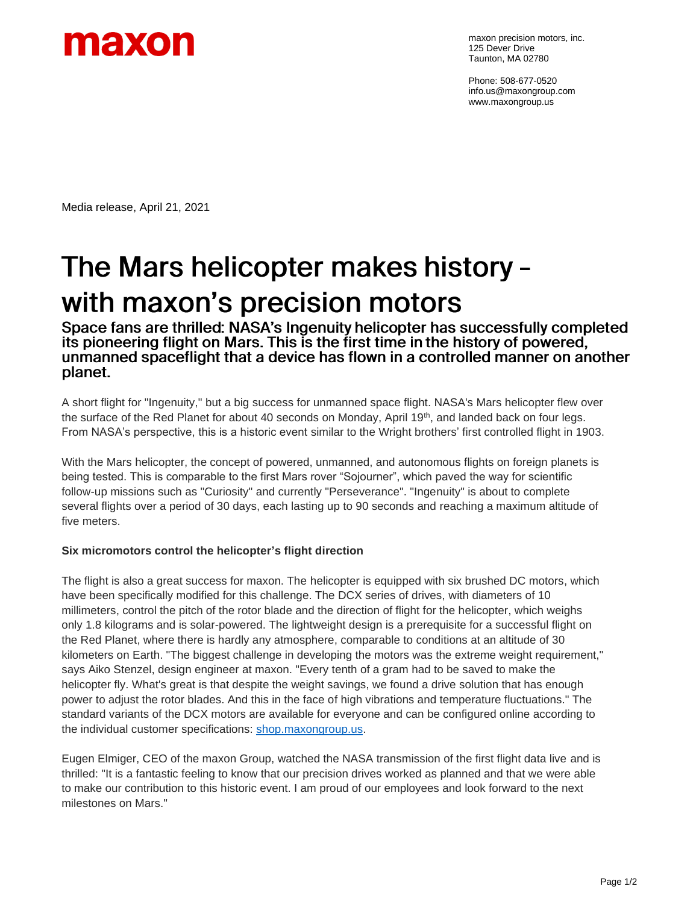

maxon precision motors, inc. 125 Dever Drive Taunton, MA 02780

Phone: 508-677-0520 info.us@maxongroup.com www.maxongroup.us

Media release, April 21, 2021

## The Mars helicopter makes history with maxon's precision motors

Space fans are thrilled: NASA's Ingenuity helicopter has successfully completed its pioneering flight on Mars. This is the first time in the history of powered, unmanned spaceflight that a device has flown in a controlled manner on another planet.

A short flight for "Ingenuity," but a big success for unmanned space flight. NASA's Mars helicopter flew over the surface of the Red Planet for about 40 seconds on Monday, April 19<sup>th</sup>, and landed back on four legs. From NASA's perspective, this is a historic event similar to the Wright brothers' first controlled flight in 1903.

With the Mars helicopter, the concept of powered, unmanned, and autonomous flights on foreign planets is being tested. This is comparable to the first Mars rover "Sojourner", which paved the way for scientific follow-up missions such as "Curiosity" and currently "Perseverance". "Ingenuity" is about to complete several flights over a period of 30 days, each lasting up to 90 seconds and reaching a maximum altitude of five meters.

## **Six micromotors control the helicopter's flight direction**

The flight is also a great success for maxon. The helicopter is equipped with six brushed DC motors, which have been specifically modified for this challenge. The DCX series of drives, with diameters of 10 millimeters, control the pitch of the rotor blade and the direction of flight for the helicopter, which weighs only 1.8 kilograms and is solar-powered. The lightweight design is a prerequisite for a successful flight on the Red Planet, where there is hardly any atmosphere, comparable to conditions at an altitude of 30 kilometers on Earth. "The biggest challenge in developing the motors was the extreme weight requirement," says Aiko Stenzel, design engineer at maxon. "Every tenth of a gram had to be saved to make the helicopter fly. What's great is that despite the weight savings, we found a drive solution that has enough power to adjust the rotor blades. And this in the face of high vibrations and temperature fluctuations." The standard variants of the DCX motors are available for everyone and can be configured online according to the individual customer specifications: [shop.maxongroup.us.](file:///C:/Users/mpmstbo/Desktop/shop.maxongroup.us)

Eugen Elmiger, CEO of the maxon Group, watched the NASA transmission of the first flight data live and is thrilled: "It is a fantastic feeling to know that our precision drives worked as planned and that we were able to make our contribution to this historic event. I am proud of our employees and look forward to the next milestones on Mars."